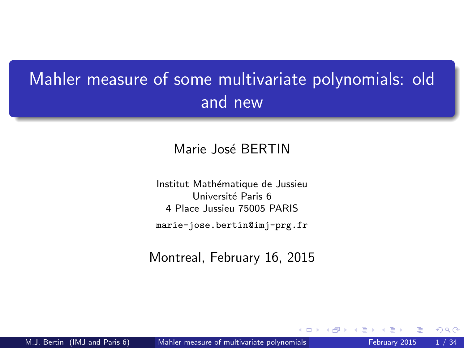## <span id="page-0-0"></span>Mahler measure of some multivariate polynomials: old and new

### Marie José BERTIN

Institut Mathématique de Jussieu Université Paris 6 4 Place Jussieu 75005 PARIS marie-jose.bertin@imj-prg.fr

Montreal, February 16, 2015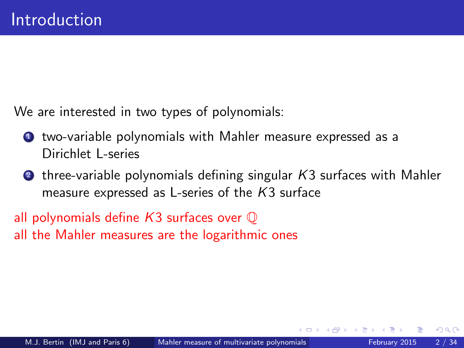We are interested in two types of polynomials:

- **1** two-variable polynomials with Mahler measure expressed as a Dirichlet L-series
- $\bullet$  three-variable polynomials defining singular  $K3$  surfaces with Mahler measure expressed as L-series of the K3 surface

all polynomials define  $K3$  surfaces over  $\mathbb O$ all the Mahler measures are the logarithmic ones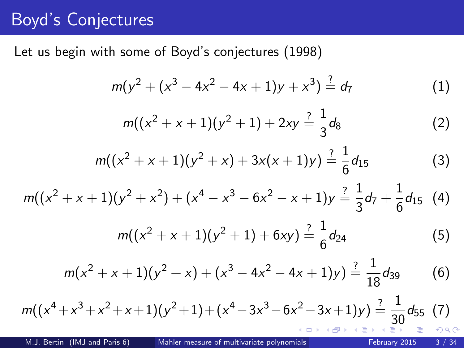### Boyd's Conjectures

Let us begin with some of Boyd's conjectures (1998)

$$
m(y^{2} + (x^{3} - 4x^{2} - 4x + 1)y + x^{3}) \stackrel{?}{=} d_{7}
$$
 (1)

$$
m((x2 + x + 1)(y2 + 1) + 2xy = \frac{1}{3}d_8
$$
 (2)

$$
m((x2 + x + 1)(y2 + x) + 3x(x + 1)y) \stackrel{?}{=} \frac{1}{6}d_{15}
$$
 (3)

$$
m((x2 + x + 1)(y2 + x2) + (x4 - x3 - 6x2 - x + 1)y \stackrel{?}{=} \frac{1}{3}d_7 + \frac{1}{6}d_{15}
$$
 (4)

$$
m((x2 + x + 1)(y2 + 1) + 6xy) \stackrel{?}{=} \frac{1}{6}d_{24}
$$
 (5)

$$
m(x^{2} + x + 1)(y^{2} + x) + (x^{3} - 4x^{2} - 4x + 1)y) \stackrel{?}{=} \frac{1}{18}d_{39}
$$
 (6)

$$
m((x^{4}+x^{3}+x^{2}+x+1)(y^{2}+1)+(x^{4}-3x^{3}-6x^{2}-3x+1)y) \stackrel{?}{=} \frac{1}{30} d_{55} (7)
$$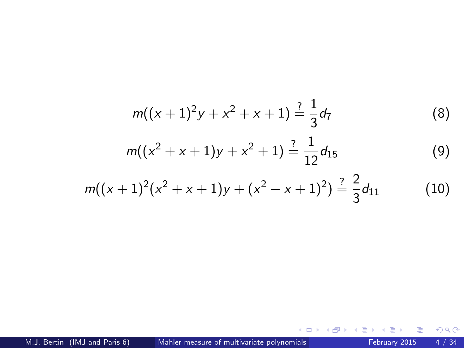$$
m((x + 1)^2y + x^2 + x + 1) \stackrel{?}{=} \frac{1}{3}d_7
$$
\n
$$
m((x^2 + x + 1)y + x^2 + 1) \stackrel{?}{=} \frac{1}{12}d_{15}
$$
\n
$$
m((x + 1)^2(x^2 + x + 1)y + (x^2 - x + 1)^2) \stackrel{?}{=} \frac{2}{3}d_{11}
$$
\n
$$
(10)
$$

 $\equiv$  990

イロト イ部 トイヨ トイヨト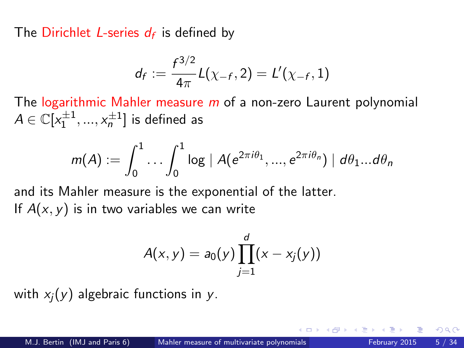The Dirichlet *L*-series  $d_f$  is defined by

$$
d_f := \frac{f^{3/2}}{4\pi}L(\chi_{-f}, 2) = L'(\chi_{-f}, 1)
$$

The logarithmic Mahler measure  $m$  of a non-zero Laurent polynomial  $A \in \mathbb{C}[x_1^{\pm 1},...,x_n^{\pm 1}]$  is defined as

$$
m(A) := \int_0^1 \ldots \int_0^1 \log |A(e^{2\pi i \theta_1}, ..., e^{2\pi i \theta_n})| d\theta_1... d\theta_n
$$

and its Mahler measure is the exponential of the latter. If  $A(x, y)$  is in two variables we can write

$$
A(x, y) = a_0(y) \prod_{j=1}^d (x - x_j(y))
$$

with  $x_i(y)$  algebraic functions in y.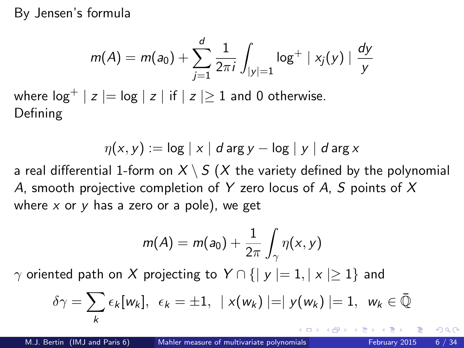By Jensen's formula

$$
m(A) = m(a_0) + \sum_{j=1}^d \frac{1}{2\pi i} \int_{|y|=1} \log^+ |x_j(y)| \frac{dy}{y}
$$

where  $\log^+ | z | = \log | z |$  if  $| z | \ge 1$  and 0 otherwise. Defining

$$
\eta(x,y) := \log |x| d \arg y - \log |y| d \arg x
$$

a real differential 1-form on  $X \setminus S$  (X the variety defined by the polynomial A, smooth projective completion of Y zero locus of A, S points of  $X$ where  $x$  or  $y$  has a zero or a pole), we get

$$
m(A) = m(a_0) + \frac{1}{2\pi} \int_{\gamma} \eta(x, y)
$$

 $\gamma$  oriented path on X projecting to  $Y \cap \{ |y| = 1, |x| \geq 1 \}$  and

$$
\delta \gamma = \sum_{k} \epsilon_k [w_k], \ \epsilon_k = \pm 1, \ \mid x(w_k) \mid = \mid y(w_k) \mid = 1, \ \ w_k \in \bar{\mathbb{Q}}
$$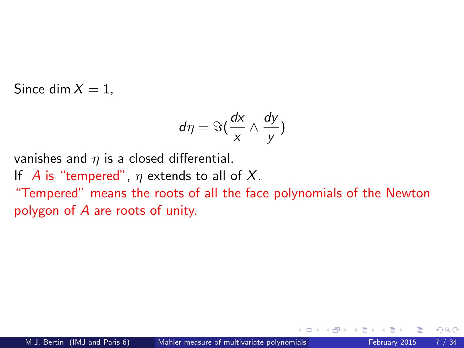Since dim  $X = 1$ .

$$
d\eta = \Im(\frac{dx}{x} \wedge \frac{dy}{y})
$$

vanishes and  $\eta$  is a closed differential. If A is "tempered",  $\eta$  extends to all of X. "Tempered" means the roots of all the face polynomials of the Newton polygon of A are roots of unity.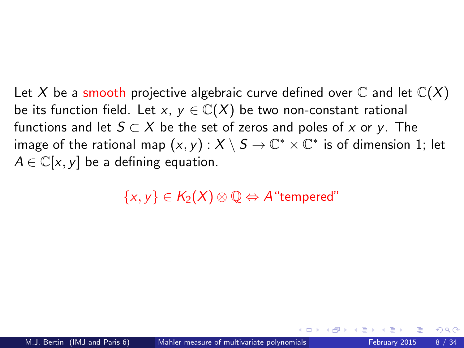Let X be a smooth projective algebraic curve defined over  $\mathbb C$  and let  $\mathbb C(X)$ be its function field. Let x,  $y \in \mathbb{C}(X)$  be two non-constant rational functions and let  $S \subset X$  be the set of zeros and poles of x or y. The image of the rational map  $(x,y)$  :  $X\setminus S\to \mathbb C^*\times \mathbb C^*$  is of dimension 1; let  $A \in \mathbb{C}[x, y]$  be a defining equation.

 $\{x, y\} \in K_2(X) \otimes \mathbb{O} \Leftrightarrow A$  "tempered"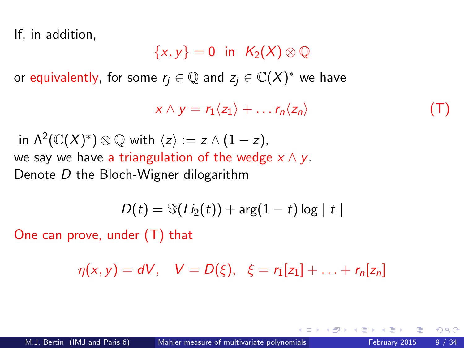If, in addition,

 $\{x, y\} = 0$  in  $K_2(X) \otimes \mathbb{Q}$ 

or equivalently, for some  $r_j \in \mathbb{Q}$  and  $z_j \in \mathbb{C}(X)^*$  we have

 $x \wedge y = r_1 \langle z_1 \rangle + \ldots r_n \langle z_n \rangle$  (T)

in  $\Lambda^2(\mathbb{C}(X)^*)\otimes\mathbb{Q}$  with  $\langle z\rangle:=z\wedge(1-z)$ , we say we have a triangulation of the wedge  $x \wedge y$ . Denote D the Bloch-Wigner dilogarithm

$$
D(t) = \Im(Li_2(t)) + \arg(1-t)\log|t|
$$

One can prove, under (T) that

$$
\eta(x, y) = dV, \quad V = D(\xi), \ \xi = r_1[z_1] + \ldots + r_n[z_n]
$$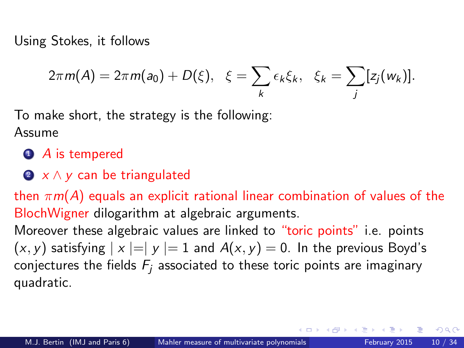Using Stokes, it follows

$$
2\pi m(A) = 2\pi m(a_0) + D(\xi), \quad \xi = \sum_k \epsilon_k \xi_k, \quad \xi_k = \sum_j [z_j(w_k)].
$$

To make short, the strategy is the following: Assume

- **1** A is tempered
- $\bullet x \wedge y$  can be triangulated

then  $\pi m(A)$  equals an explicit rational linear combination of values of the BlochWigner dilogarithm at algebraic arguments.

Moreover these algebraic values are linked to "toric points" i.e. points  $(x, y)$  satisfying  $|x| = |y| = 1$  and  $A(x, y) = 0$ . In the previous Boyd's conjectures the fields  $F_i$  associated to these toric points are imaginary quadratic.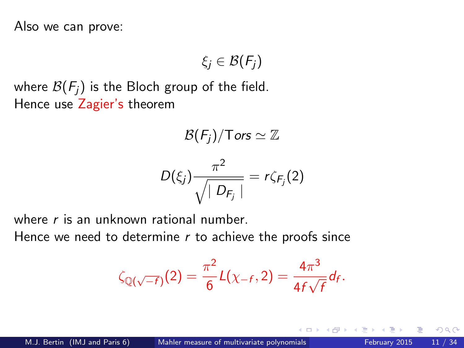Also we can prove:

$$
\xi_j\in\mathcal{B}(\mathit{F}_j)
$$

where  $\mathcal{B}(F_i)$  is the Bloch group of the field. Hence use Zagier's theorem

$$
\mathcal{B}(F_j)/\mathsf{Tors}\simeq\mathbb{Z}
$$

$$
D(\xi_j)\frac{\pi^2}{\sqrt{\mid D_{F_j}\mid}}=r\zeta_{F_j}(2)
$$

where r is an unknown rational number

Hence we need to determine  $r$  to achieve the proofs since

$$
\zeta_{\mathbb{Q}(\sqrt{-f})}(2) = \frac{\pi^2}{6}L(\chi_{-f}, 2) = \frac{4\pi^3}{4f\sqrt{f}}d_f.
$$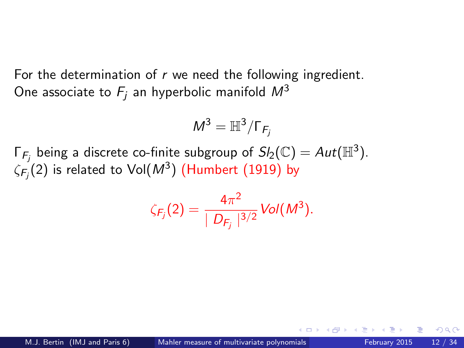For the determination of  $r$  we need the following ingredient. One associate to  $F_i$  an hyperbolic manifold  $M^3$ 

$$
M^3=\mathbb{H}^3/\Gamma_{F_j}
$$

Γ $_{F_j}$  being a discrete co-finite subgroup of  $Sl_2(\mathbb{C})=Aut(\mathbb{H}^3).$  $\zeta_{\mathsf{F}_j}(2)$  is related to  $\mathsf{Vol}(M^3)$   $(\mathsf{Humbert}\ (1919)$  by

$$
\zeta_{F_j}(2) = \frac{4\pi^2}{|D_{F_j}|^{3/2}} Vol(M^3).
$$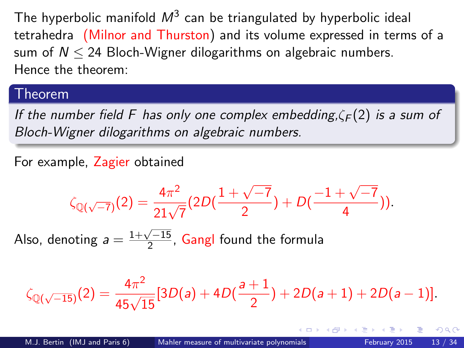The hyperbolic manifold  $\mathcal{M}^{3}$  can be triangulated by hyperbolic ideal tetrahedra (Milnor and Thurston) and its volume expressed in terms of a sum of  $N < 24$  Bloch-Wigner dilogarithms on algebraic numbers. Hence the theorem:

#### Theorem

If the number field F has only one complex embedding, $\zeta_F(2)$  is a sum of Bloch-Wigner dilogarithms on algebraic numbers.

For example, Zagier obtained

$$
\zeta_{\mathbb{Q}(\sqrt{-7})}(2) = \frac{4\pi^2}{21\sqrt{7}}(2D(\frac{1+\sqrt{-7}}{2}) + D(\frac{-1+\sqrt{-7}}{4})).
$$

Also, denoting  $a = \frac{1+\sqrt{-15}}{2}$  $\frac{\sqrt{-15}}{2}$ , Gangl found the formula

$$
\zeta_{\mathbb{Q}(\sqrt{-15})}(2) = \frac{4\pi^2}{45\sqrt{15}}[3D(a) + 4D(\frac{a+1}{2}) + 2D(a+1) + 2D(a-1)].
$$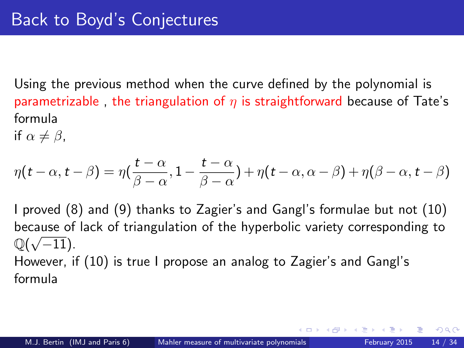Using the previous method when the curve defined by the polynomial is parametrizable, the triangulation of  $\eta$  is straightforward because of Tate's formula

if  $\alpha \neq \beta$ ,

$$
\eta(t-\alpha, t-\beta) = \eta(\frac{t-\alpha}{\beta-\alpha}, 1-\frac{t-\alpha}{\beta-\alpha}) + \eta(t-\alpha, \alpha-\beta) + \eta(\beta-\alpha, t-\beta)
$$

I proved (8) and (9) thanks to Zagier's and Gangl's formulae but not (10) because of lack of triangulation of the hyperbolic variety corresponding to  $\mathbb{Q}(\sqrt{-11})$ . However, if (10) is true I propose an analog to Zagier's and Gangl's

formula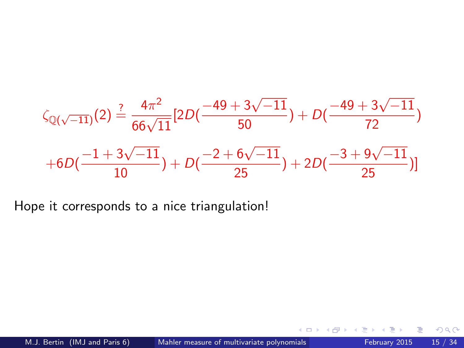$$
\zeta_{\mathbb{Q}(\sqrt{-11})}(2) \stackrel{?}{=} \frac{4\pi^2}{66\sqrt{11}} [2D(\frac{-49+3\sqrt{-11}}{50}) + D(\frac{-49+3\sqrt{-11}}{72})
$$
  
+6D(\frac{-1+3\sqrt{-11}}{10}) + D(\frac{-2+6\sqrt{-11}}{25}) + 2D(\frac{-3+9\sqrt{-11}}{25})]

Hope it corresponds to a nice triangulation!

4 D F

 $\mathcal{A}$  $\sim$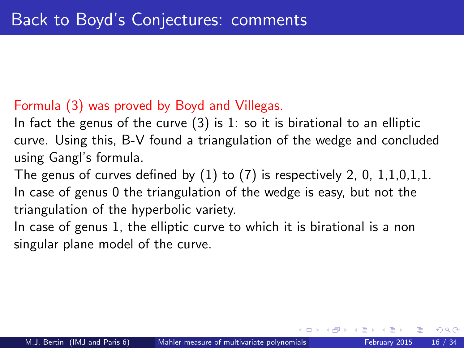### Formula (3) was proved by Boyd and Villegas.

In fact the genus of the curve  $(3)$  is 1: so it is birational to an elliptic curve. Using this, B-V found a triangulation of the wedge and concluded using Gangl's formula.

The genus of curves defined by  $(1)$  to  $(7)$  is respectively 2, 0, 1,1,0,1,1. In case of genus 0 the triangulation of the wedge is easy, but not the triangulation of the hyperbolic variety.

In case of genus 1, the elliptic curve to which it is birational is a non singular plane model of the curve.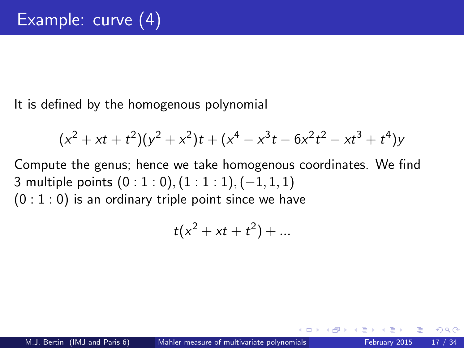It is defined by the homogenous polynomial

$$
(x2 + xt + t2)(y2 + x2)t + (x4 – x3t – 6x2t2 – xt3 + t4)y
$$

Compute the genus; hence we take homogenous coordinates. We find 3 multiple points (0 : 1 : 0), (1 : 1 : 1), (-1, 1, 1)  $(0:1:0)$  is an ordinary triple point since we have

$$
t(x^2+xt+t^2)+...
$$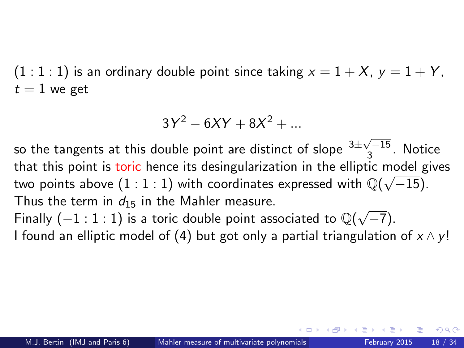$(1:1:1)$  is an ordinary double point since taking  $x = 1 + X$ ,  $y = 1 + Y$ ,  $t = 1$  we get

$$
3Y^2 - 6XY + 8X^2 + \dots
$$

so the tangents at this double point are distinct of slope  $\frac{3\pm\sqrt{-15}}{3}$  $\frac{\sqrt{115}}{3}$ . Notice that this point is toric hence its desingularization in the elliptic model gives two points above  $(1:1:1)$  with coordinates expressed with  $\mathbb{Q}(\sqrt{-15})$ . Thus the term in  $d_{15}$  in the Mahler measure.

Thus the term in  $a_{15}$  in the wiahler measure.<br>Finally (−1 : 1 : 1) is a toric double point associated to  $\mathbb{Q}(\sqrt{2})$  $(-7)$ . I found an elliptic model of (4) but got only a partial triangulation of  $x \wedge y!$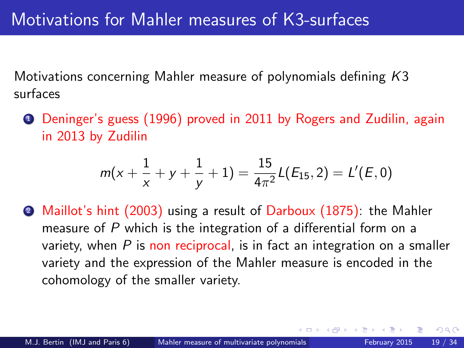Motivations concerning Mahler measure of polynomials defining K3 surfaces

<sup>1</sup> Deninger's guess (1996) proved in 2011 by Rogers and Zudilin, again in 2013 by Zudilin

$$
m(x+\frac{1}{x}+y+\frac{1}{y}+1)=\frac{15}{4\pi^2}L(E_{15},2)=L'(E,0)
$$

<sup>2</sup> Maillot's hint (2003) using a result of Darboux (1875): the Mahler measure of P which is the integration of a differential form on a variety, when  $P$  is non reciprocal, is in fact an integration on a smaller variety and the expression of the Mahler measure is encoded in the cohomology of the smaller variety.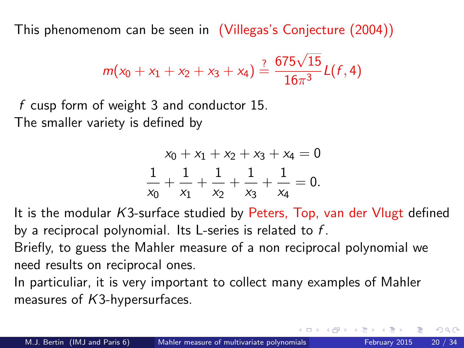This phenomenom can be seen in (Villegas's Conjecture (2004))

$$
m(x_0 + x_1 + x_2 + x_3 + x_4) \stackrel{?}{=} \frac{675\sqrt{15}}{16\pi^3}L(f, 4)
$$

f cusp form of weight 3 and conductor 15. The smaller variety is defined by

$$
x_0 + x_1 + x_2 + x_3 + x_4 = 0
$$
  

$$
\frac{1}{x_0} + \frac{1}{x_1} + \frac{1}{x_2} + \frac{1}{x_3} + \frac{1}{x_4} = 0.
$$

It is the modular K3-surface studied by Peters, Top, van der Vlugt defined by a reciprocal polynomial. Its L-series is related to  $f$ .

Briefly, to guess the Mahler measure of a non reciprocal polynomial we need results on reciprocal ones.

In particuliar, it is very important to collect many examples of Mahler measures of K3-hypersurfaces.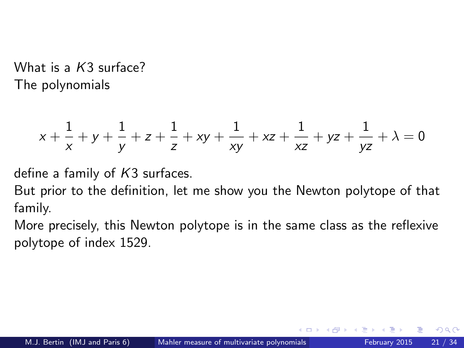What is a K3 surface? The polynomials

$$
x + \frac{1}{x} + y + \frac{1}{y} + z + \frac{1}{z} + xy + \frac{1}{xy} + xz + \frac{1}{xz} + yz + \frac{1}{yz} + \lambda = 0
$$

define a family of  $K3$  surfaces.

But prior to the definition, let me show you the Newton polytope of that family.

More precisely, this Newton polytope is in the same class as the reflexive polytope of index 1529.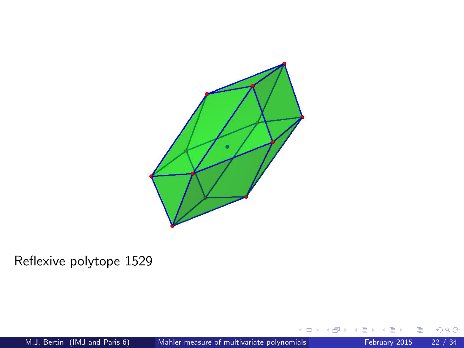

### Reflexive polytope 1529

≃

4 日下

×.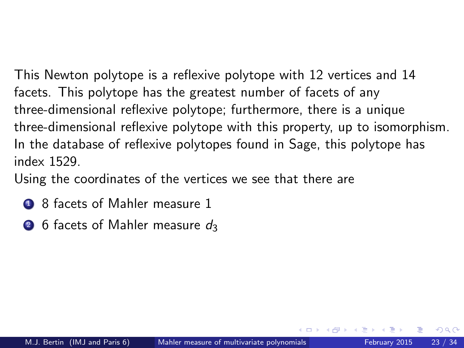This Newton polytope is a reflexive polytope with 12 vertices and 14 facets. This polytope has the greatest number of facets of any three-dimensional reflexive polytope; furthermore, there is a unique three-dimensional reflexive polytope with this property, up to isomorphism. In the database of reflexive polytopes found in Sage, this polytope has index 1529.

Using the coordinates of the vertices we see that there are

- **1** 8 facets of Mahler measure 1
- **2** 6 facets of Mahler measure  $d_3$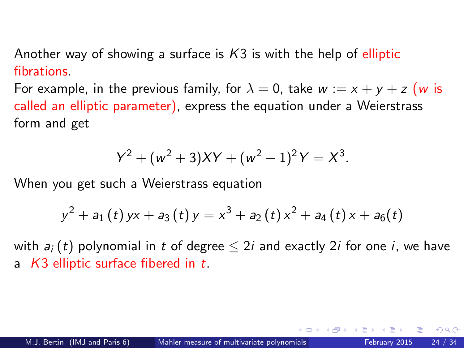Another way of showing a surface is  $K3$  is with the help of elliptic fibrations.

For example, in the previous family, for  $\lambda = 0$ , take  $w := x + y + z$  (w is called an elliptic parameter), express the equation under a Weierstrass form and get

$$
Y^2 + (w^2 + 3)XY + (w^2 - 1)^2Y = X^3.
$$

When you get such a Weierstrass equation

$$
y^{2}+a_{1}\left( t\right) yx+a_{3}\left( t\right) y=x^{3}+a_{2}\left( t\right) x^{2}+a_{4}\left( t\right) x+a_{6}(t)
$$

with  $a_i(t)$  polynomial in t of degree  $\leq 2i$  and exactly 2*i* for one *i*, we have a  $K3$  elliptic surface fibered in t.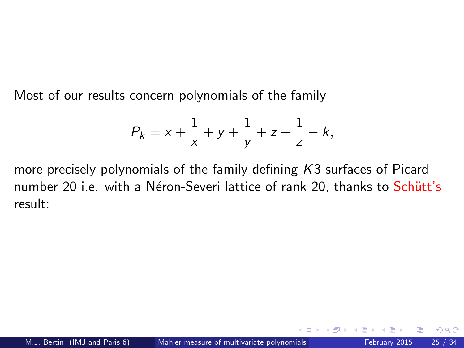Most of our results concern polynomials of the family

$$
P_k = x + \frac{1}{x} + y + \frac{1}{y} + z + \frac{1}{z} - k,
$$

more precisely polynomials of the family defining K3 surfaces of Picard number 20 i.e. with a Néron-Severi lattice of rank 20, thanks to Schütt's result: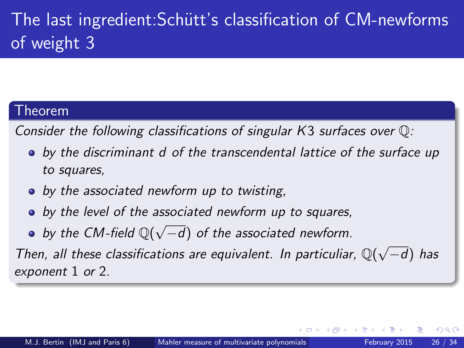# The last ingredient: Schütt's classification of CM-newforms of weight 3

### Theorem

Consider the following classifications of singular K3 surfaces over Q:

- by the discriminant d of the transcendental lattice of the surface up to squares,
- by the associated newform up to twisting,
- by the level of the associated newform up to squares,
- by the CM-field  $\mathbb{Q}(\sqrt{2})$ −d) of the associated newform.

Then, all these classifications are equivalent. In particuliar,  $\mathbb{Q}(\sqrt{n})$ −d) has exponent 1 or 2.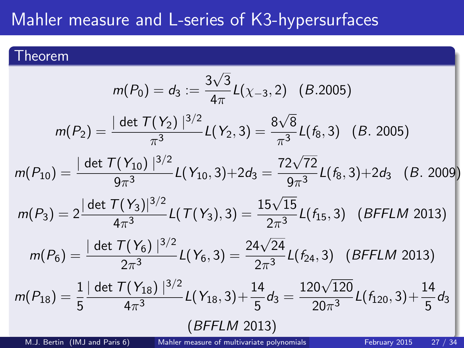## Mahler measure and L-series of K3-hypersurfaces

### Theorem

$$
m(P_0) = d_3 := \frac{3\sqrt{3}}{4\pi} L(\chi_{-3}, 2) \quad (B.2005)
$$
  
\n
$$
m(P_2) = \frac{|\det T(Y_2)|^{3/2}}{\pi^3} L(Y_2, 3) = \frac{8\sqrt{8}}{\pi^3} L(f_8, 3) \quad (B. 2005)
$$
  
\n
$$
m(P_{10}) = \frac{|\det T(Y_{10})|^{3/2}}{9\pi^3} L(Y_{10}, 3) + 2d_3 = \frac{72\sqrt{72}}{9\pi^3} L(f_8, 3) + 2d_3 \quad (B. 2009)
$$
  
\n
$$
m(P_3) = 2 \frac{|\det T(Y_3)|^{3/2}}{4\pi^3} L(T(Y_3), 3) = \frac{15\sqrt{15}}{2\pi^3} L(f_{15}, 3) \quad (BFFLM 2013)
$$
  
\n
$$
m(P_6) = \frac{|\det T(Y_6)|^{3/2}}{2\pi^3} L(Y_6, 3) = \frac{24\sqrt{24}}{2\pi^3} L(f_{24}, 3) \quad (BFFLM 2013)
$$
  
\n
$$
m(P_{18}) = \frac{1}{5} \frac{|\det T(Y_{18})|^{3/2}}{4\pi^3} L(Y_{18}, 3) + \frac{14}{5}d_3 = \frac{120\sqrt{120}}{20\pi^3} L(f_{120}, 3) + \frac{14}{5}d_3
$$
  
\n
$$
(BFFLM 2013)
$$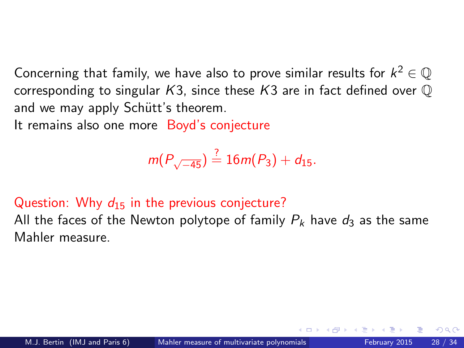Concerning that family, we have also to prove similar results for  $k^2 \in \mathbb{Q}$ corresponding to singular  $K3$ , since these  $K3$  are in fact defined over  $\mathbb O$ and we may apply Schütt's theorem.

It remains also one more Boyd's conjecture

$$
m(P_{\sqrt{-45}}) \stackrel{?}{=} 16m(P_3) + d_{15}.
$$

### Question: Why  $d_{15}$  in the previous conjecture?

All the faces of the Newton polytope of family  $P_k$  have  $d_3$  as the same Mahler measure.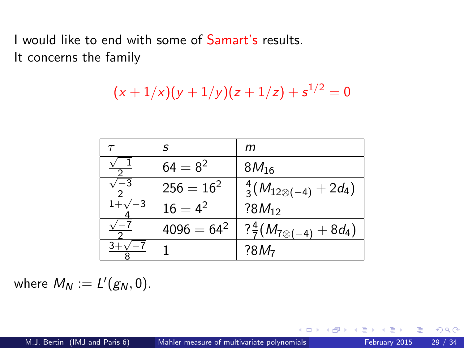I would like to end with some of Samart's results. It concerns the family

$$
(x+1/x)(y+1/y)(z+1/z)+s^{1/2}=0
$$

|    | s             | m                                        |
|----|---------------|------------------------------------------|
|    | $64 = 8^2$    | $8M_{16}$                                |
| -3 | $256 = 16^2$  | $rac{4}{3}(M_{12\otimes(-4)}+2d_4)$      |
|    | $16 = 4^2$    | $?8M_{12}$                               |
|    | $4096 = 64^2$ | $? \frac{4}{7}(M_{7\otimes(-4)} + 8d_4)$ |
|    |               | ?8M <sub>7</sub>                         |

where  $M_N := L'(g_N, 0)$ .

э

4 D F

 $QQ$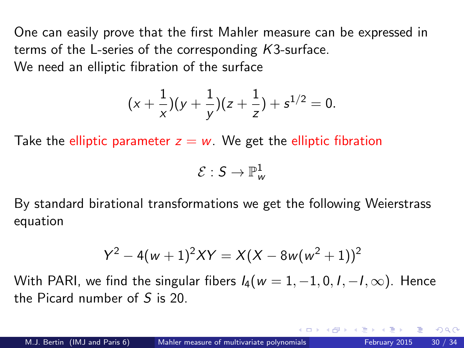One can easily prove that the first Mahler measure can be expressed in terms of the L-series of the corresponding K3-surface. We need an elliptic fibration of the surface

$$
(x+\frac{1}{x})(y+\frac{1}{y})(z+\frac{1}{z})+s^{1/2}=0.
$$

Take the elliptic parameter  $z = w$ . We get the elliptic fibration

$$
\mathcal{E}: \mathsf{S} \to \mathbb{P}^1_\mathsf{w}
$$

By standard birational transformations we get the following Weierstrass equation

$$
Y^2 - 4(w+1)^2XY = X(X - 8w(w^2+1))^2
$$

With PARI, we find the singular fibers  $I_4(w = 1, -1, 0, I, -I, \infty)$ . Hence the Picard number of S is 20.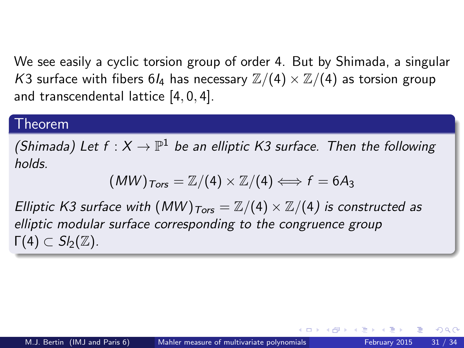We see easily a cyclic torsion group of order 4. But by Shimada, a singular K3 surface with fibers 6 $I_4$  has necessary  $\mathbb{Z}/(4) \times \mathbb{Z}/(4)$  as torsion group and transcendental lattice [4, 0, 4].

#### Theorem

(Shimada) Let  $f:X\to \mathbb{P}^1$  be an elliptic K3 surface. Then the following holds.

$$
(MW)_{Tors} = \mathbb{Z}/(4) \times \mathbb{Z}/(4) \Longleftrightarrow f = 6A_3
$$

Elliptic K3 surface with  $(MW)_{Tors} = \mathbb{Z}/(4) \times \mathbb{Z}/(4)$  is constructed as elliptic modular surface corresponding to the congruence group  $\Gamma(4)$   $\subset$  S<sub>b</sub>( $\mathbb{Z}$ ).

つひひ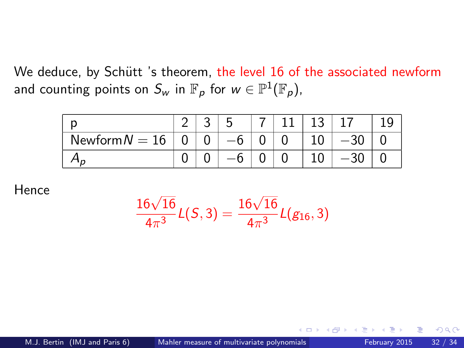We deduce, by Schütt 's theorem, the level 16 of the associated newform and counting points on  $S_w$  in  $\mathbb{F}_\rho$  for  $w\in \mathbb{P}^1(\mathbb{F}_\rho).$ 

| Newform $N = 16$ |  |  |  |  |
|------------------|--|--|--|--|
|                  |  |  |  |  |

Hence

$$
\frac{16\sqrt{16}}{4\pi^3}L(S,3)=\frac{16\sqrt{16}}{4\pi^3}L(g_{16},3)
$$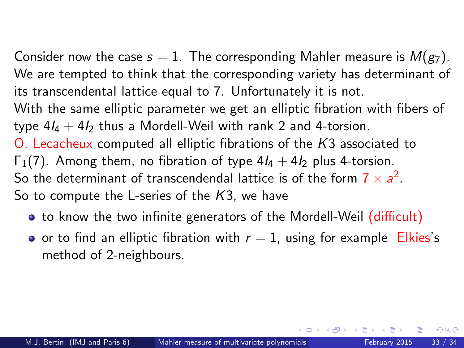Consider now the case  $s = 1$ . The corresponding Mahler measure is  $M(g_7)$ . We are tempted to think that the corresponding variety has determinant of its transcendental lattice equal to 7. Unfortunately it is not. With the same elliptic parameter we get an elliptic fibration with fibers of type  $4I_4 + 4I_2$  thus a Mordell-Weil with rank 2 and 4-torsion. O. Lecacheux computed all elliptic fibrations of the K3 associated to  $\Gamma_1(7)$ . Among them, no fibration of type  $4I_4 + 4I_2$  plus 4-torsion. So the determinant of transcendendal lattice is of the form  $7 \times a^2$ . So to compute the L-series of the  $K3$ , we have

- to know the two infinite generators of the Mordell-Weil (difficult)
- or to find an elliptic fibration with  $r = 1$ , using for example Elkies's method of 2-neighbours.